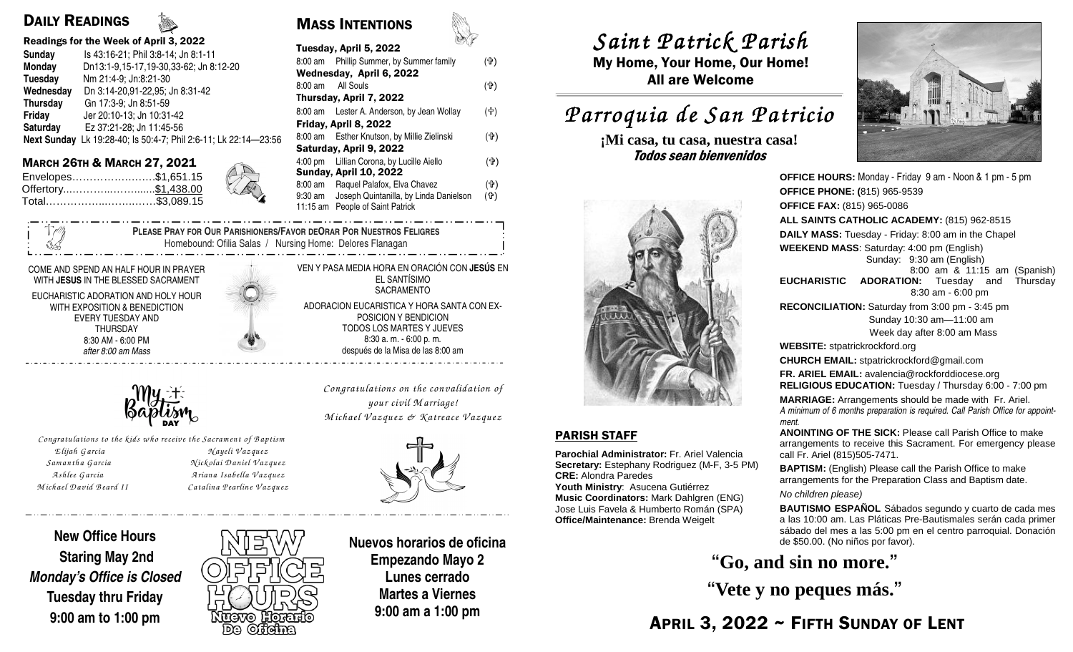# DAILY READINGS

#### Readings for the Week of April 3, 2022

| <b>Sunday</b>   | Is 43:16-21; Phil 3:8-14; Jn 8:1-11                             |
|-----------------|-----------------------------------------------------------------|
| Monday          | Dn13:1-9,15-17,19-30,33-62; Jn 8:12-20                          |
| Tuesday         | Nm 21:4-9; Jn:8:21-30                                           |
| Wednesday       | Dn 3:14-20,91-22,95; Jn 8:31-42                                 |
| <b>Thursday</b> | Gn 17:3-9; Jn 8:51-59                                           |
| <b>Friday</b>   | Jer 20:10-13; Jn 10:31-42                                       |
| Saturday        | Ez 37:21-28; Jn 11:45-56                                        |
|                 | Next Sunday Lk 19:28-40; Is 50:4-7; Phil 2:6-11; Lk 22:14-23:56 |
|                 |                                                                 |

| Envelopes\$1,651.15 |  |
|---------------------|--|
| Offertory\$1,438.00 |  |
| Total\$3,089.15     |  |

| Readings for the week of April 3, 2022<br><b>Sunday</b><br>Is 43:16-21: Phil 3:8-14: Jn 8:1-11          | SV<br>Tuesday, April 5, 2022                                                                                                    |            | Saint Patrick Pa           |
|---------------------------------------------------------------------------------------------------------|---------------------------------------------------------------------------------------------------------------------------------|------------|----------------------------|
| Dn13:1-9,15-17,19-30,33-62; Jn 8:12-20<br>Monday                                                        | 8:00 am Phillip Summer, by Summer family<br>Wednesday, April 6, 2022                                                            | (유)        | My Home, Your Home, Our    |
| Tuesday<br>Nm 21:4-9; Jn:8:21-30<br>Wednesday<br>Dn 3:14-20,91-22,95; Jn 8:31-42                        | All Souls<br>8:00 am<br>Thursday, April 7, 2022                                                                                 | (1)        | <b>All are Welcome</b>     |
| Thursday<br>Gn 17:3-9: Jn 8:51-59<br>Friday<br>Jer 20:10-13: Jn 10:31-42                                | 8:00 am Lester A. Anderson, by Jean Wollay<br>Friday, April 8, 2022                                                             | (骨)        | Parroquia de San P         |
| Ez 37:21-28; Jn 11:45-56<br>Saturday<br>Next Sunday Lk 19:28-40; Is 50:4-7; Phil 2:6-11; Lk 22:14-23:56 | 8:00 am Esther Knutson, by Millie Zielinski<br>Saturday, April 9, 2022                                                          | (유)        | ¡Mi casa, tu casa, nuestra |
| <b>MARCH 26TH &amp; MARCH 27, 2021</b><br>Envelopes\$1,651.15                                           | 4:00 pm Lillian Corona, by Lucille Aiello<br><b>Sunday, April 10, 2022</b>                                                      | (4)        | Todos sean bienvenidos     |
| X<br>Total\$3,089.15                                                                                    | Raquel Palafox, Elva Chavez<br>8:00 am<br>Joseph Quintanilla, by Linda Danielson<br>9:30 am<br>11:15 am People of Saint Patrick | (ተ)<br>(유) |                            |
|                                                                                                         |                                                                                                                                 |            |                            |

MASS INTENTIONS

**PLEASE PRAY FOR OUR PARISHIONERS/FAVOR DEORAR POR NUESTROS FELIGRES** Homebound: Ofilia Salas / Nursing Home: Delores Flanagan

#### COME AND SPEND AN HALF HOUR IN PRAYER WITH **JESUS** IN THE BLESSED SACRAMENT

EUCHARISTIC ADORATION AND HOLY HOUR WITH EXPOSITION & BENEDICTION EVERY TUESDAY AND THURSDAY 8:30 AM - 6:00 PM *after 8:00 am Mass* 



*Congratulations to the kids w ho receive the Sacram ent of B aptism <sup>E</sup> lijah G arcia N ayeli V azquez Sam antha G arcia N ickolai D aniel V azquez <sup>A</sup> shlee G arcia A riana Isabella V azquez <sup>M</sup> ichael D avid B eard II Catalina P earline V azquez*

VEN Y PASA MEDIA HORA EN ORACIÓN CON **JESÚS** EN EL SANTÍSIMO SACRAMENTO ADORACION EUCARISTICA Y HORA SANTA CON EX-POSICION Y BENDICION TODOS LOS MARTES Y JUEVES 8:30 a. m. - 6:00 p. m. después de la Misa de las 8:00 am

> *Congratulations on the convalidation of your civil M arriage! <sup>M</sup> ichael V azquez & <sup>K</sup> atreace V azquez*



## **New Office Hours Staring May 2nd Monday's Office is Closed Tuesday thru Friday 9:00 am to 1:00 pm**



**Nuevos horarios de oficina Empezando Mayo 2 Lunes cerrado Martes a Viernes 9:00 am a 1:00 pm** 

# *Saint Patrick Parish Saint Parish*

 My Home, Your Home, Our Home! All are Welcome

# *Parroquia de San Patricio San Patricio*

**¡Mi casa, tu casa, nuestra casa!** 



#### PARISH STAFF

**Parochial Administrator:** Fr. Ariel Valencia **Secretary:** Estephany Rodriguez (M-F, 3-5 PM)**CRE:** Alondra Paredes

 **Youth Ministry**: Asucena Gutiérrez **Music Coordinators:** Mark Dahlgren (ENG) Jose Luis Favela & Humberto Román (SPA) **Office/Maintenance:** Brenda Weigelt



**OFFICE HOURS:** Monday - Friday 9 am - Noon & 1 pm - 5 pm**OFFICE PHONE: (**815) 965-9539**OFFICE FAX:** (815) 965-0086 **ALL SAINTS CATHOLIC ACADEMY:** (815) 962-8515**DAILY MASS:** Tuesday - Friday: 8:00 am in the Chapel**WEEKEND MASS**: Saturday: 4:00 pm (English) Sunday: 9:30 am (English) 8:00 am & 11:15 am (Spanish) **EUCHARISTIC ADORATION:** Tuesday and Thursday 8:30 am - 6:00 pm **RECONCILIATION:** Saturday from 3:00 pm - 3:45 pm Sunday 10:30 am—11:00 am Week day after 8:00 am Mass**WEBSITE:** stpatrickrockford.org **CHURCH EMAIL:** stpatrickrockford@gmail.com **FR. ARIEL EMAIL:** avalencia@rockforddiocese.org **RELIGIOUS EDUCATION:** Tuesday / Thursday 6:00 - 7:00 pm**MARRIAGE:** Arrangements should be made with Fr. Ariel. *A minimum of 6 months preparation is required. Call Parish Office for appointment.* **ANOINTING OF THE SICK:** Please call Parish Office to make arrangements to receive this Sacrament. For emergency please call Fr. Ariel (815)505-7471.**BAPTISM:** (English) Please call the Parish Office to make arrangements for the Preparation Class and Baptism date. No children please)

**BAUTISMO ESPAÑOL** Sábados segundo y cuarto de cada mes a las 10:00 am. Las Pláticas Pre-Bautismales serán cada primer sábado del mes a las 5:00 pm en el centro parroquial. Donación de \$50.00. (No niños por favor).

**"Go, and sin no more."** 

**"Vete y no peques más."** 

APRIL 3, 2022 ~ FIFTH SUNDAY OF LENT